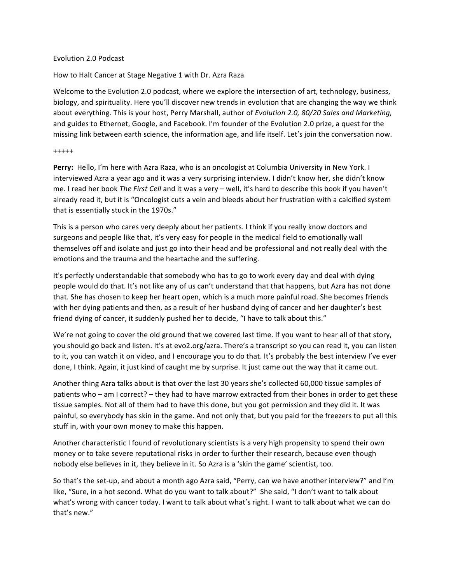### Evolution 2.0 Podcast

How to Halt Cancer at Stage Negative 1 with Dr. Azra Raza

Welcome to the Evolution 2.0 podcast, where we explore the intersection of art, technology, business, biology, and spirituality. Here you'll discover new trends in evolution that are changing the way we think about everything. This is your host, Perry Marshall, author of *Evolution 2.0, 80/20 Sales and Marketing*, and guides to Ethernet, Google, and Facebook. I'm founder of the Evolution 2.0 prize, a quest for the missing link between earth science, the information age, and life itself. Let's join the conversation now.

#### +++++

Perry: Hello, I'm here with Azra Raza, who is an oncologist at Columbia University in New York. I interviewed Azra a year ago and it was a very surprising interview. I didn't know her, she didn't know me. I read her book *The First Cell* and it was a very – well, it's hard to describe this book if you haven't already read it, but it is "Oncologist cuts a vein and bleeds about her frustration with a calcified system that is essentially stuck in the 1970s."

This is a person who cares very deeply about her patients. I think if you really know doctors and surgeons and people like that, it's very easy for people in the medical field to emotionally wall themselves off and isolate and just go into their head and be professional and not really deal with the emotions and the trauma and the heartache and the suffering.

It's perfectly understandable that somebody who has to go to work every day and deal with dying people would do that. It's not like any of us can't understand that that happens, but Azra has not done that. She has chosen to keep her heart open, which is a much more painful road. She becomes friends with her dying patients and then, as a result of her husband dying of cancer and her daughter's best friend dying of cancer, it suddenly pushed her to decide, "I have to talk about this."

We're not going to cover the old ground that we covered last time. If you want to hear all of that story, you should go back and listen. It's at evo2.org/azra. There's a transcript so you can read it, you can listen to it, you can watch it on video, and I encourage you to do that. It's probably the best interview I've ever done, I think. Again, it just kind of caught me by surprise. It just came out the way that it came out.

Another thing Azra talks about is that over the last 30 years she's collected 60,000 tissue samples of patients who – am I correct? – they had to have marrow extracted from their bones in order to get these tissue samples. Not all of them had to have this done, but you got permission and they did it. It was painful, so everybody has skin in the game. And not only that, but you paid for the freezers to put all this stuff in, with your own money to make this happen.

Another characteristic I found of revolutionary scientists is a very high propensity to spend their own money or to take severe reputational risks in order to further their research, because even though nobody else believes in it, they believe in it. So Azra is a 'skin the game' scientist, too.

So that's the set-up, and about a month ago Azra said, "Perry, can we have another interview?" and I'm like, "Sure, in a hot second. What do you want to talk about?" She said, "I don't want to talk about what's wrong with cancer today. I want to talk about what's right. I want to talk about what we can do that's new."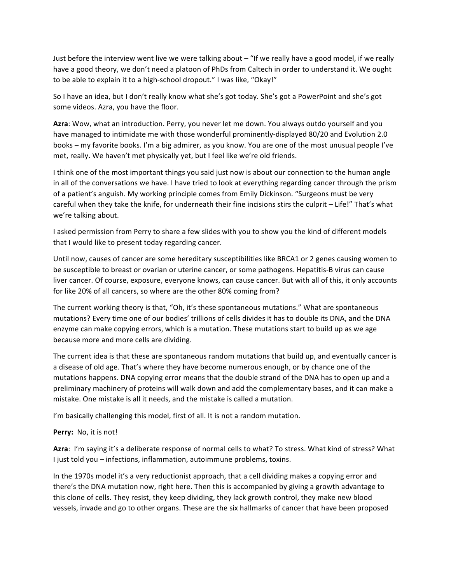Just before the interview went live we were talking about  $-$  "If we really have a good model, if we really have a good theory, we don't need a platoon of PhDs from Caltech in order to understand it. We ought to be able to explain it to a high-school dropout." I was like, "Okay!"

So I have an idea, but I don't really know what she's got today. She's got a PowerPoint and she's got some videos. Azra, you have the floor.

Azra: Wow, what an introduction. Perry, you never let me down. You always outdo yourself and you have managed to intimidate me with those wonderful prominently-displayed 80/20 and Evolution 2.0 books – my favorite books. I'm a big admirer, as you know. You are one of the most unusual people I've met, really. We haven't met physically yet, but I feel like we're old friends.

I think one of the most important things you said just now is about our connection to the human angle in all of the conversations we have. I have tried to look at everything regarding cancer through the prism of a patient's anguish. My working principle comes from Emily Dickinson. "Surgeons must be very careful when they take the knife, for underneath their fine incisions stirs the culprit – Life!" That's what we're talking about.

I asked permission from Perry to share a few slides with you to show you the kind of different models that I would like to present today regarding cancer.

Until now, causes of cancer are some hereditary susceptibilities like BRCA1 or 2 genes causing women to be susceptible to breast or ovarian or uterine cancer, or some pathogens. Hepatitis-B virus can cause liver cancer. Of course, exposure, everyone knows, can cause cancer. But with all of this, it only accounts for like 20% of all cancers, so where are the other 80% coming from?

The current working theory is that, "Oh, it's these spontaneous mutations." What are spontaneous mutations? Every time one of our bodies' trillions of cells divides it has to double its DNA, and the DNA enzyme can make copying errors, which is a mutation. These mutations start to build up as we age because more and more cells are dividing.

The current idea is that these are spontaneous random mutations that build up, and eventually cancer is a disease of old age. That's where they have become numerous enough, or by chance one of the mutations happens. DNA copying error means that the double strand of the DNA has to open up and a preliminary machinery of proteins will walk down and add the complementary bases, and it can make a mistake. One mistake is all it needs, and the mistake is called a mutation.

I'm basically challenging this model, first of all. It is not a random mutation.

Perry: No, it is not!

Azra: I'm saying it's a deliberate response of normal cells to what? To stress. What kind of stress? What I just told you – infections, inflammation, autoimmune problems, toxins.

In the 1970s model it's a very reductionist approach, that a cell dividing makes a copying error and there's the DNA mutation now, right here. Then this is accompanied by giving a growth advantage to this clone of cells. They resist, they keep dividing, they lack growth control, they make new blood vessels, invade and go to other organs. These are the six hallmarks of cancer that have been proposed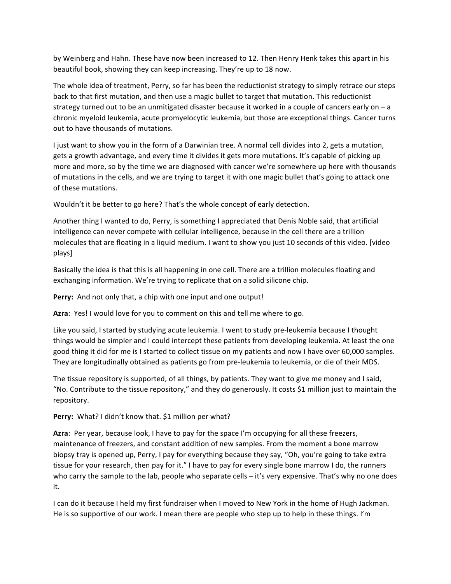by Weinberg and Hahn. These have now been increased to 12. Then Henry Henk takes this apart in his beautiful book, showing they can keep increasing. They're up to 18 now.

The whole idea of treatment, Perry, so far has been the reductionist strategy to simply retrace our steps back to that first mutation, and then use a magic bullet to target that mutation. This reductionist strategy turned out to be an unmitigated disaster because it worked in a couple of cancers early on  $-a$ chronic myeloid leukemia, acute promyelocytic leukemia, but those are exceptional things. Cancer turns out to have thousands of mutations.

I just want to show you in the form of a Darwinian tree. A normal cell divides into 2, gets a mutation, gets a growth advantage, and every time it divides it gets more mutations. It's capable of picking up more and more, so by the time we are diagnosed with cancer we're somewhere up here with thousands of mutations in the cells, and we are trying to target it with one magic bullet that's going to attack one of these mutations.

Wouldn't it be better to go here? That's the whole concept of early detection.

Another thing I wanted to do, Perry, is something I appreciated that Denis Noble said, that artificial intelligence can never compete with cellular intelligence, because in the cell there are a trillion molecules that are floating in a liquid medium. I want to show you just 10 seconds of this video. [video plays]

Basically the idea is that this is all happening in one cell. There are a trillion molecules floating and exchanging information. We're trying to replicate that on a solid silicone chip.

**Perry:** And not only that, a chip with one input and one output!

Azra: Yes! I would love for you to comment on this and tell me where to go.

Like you said, I started by studying acute leukemia. I went to study pre-leukemia because I thought things would be simpler and I could intercept these patients from developing leukemia. At least the one good thing it did for me is I started to collect tissue on my patients and now I have over 60,000 samples. They are longitudinally obtained as patients go from pre-leukemia to leukemia, or die of their MDS.

The tissue repository is supported, of all things, by patients. They want to give me money and I said, "No. Contribute to the tissue repository," and they do generously. It costs \$1 million just to maintain the repository.

**Perry:** What? I didn't know that. \$1 million per what?

Azra: Per year, because look, I have to pay for the space I'm occupying for all these freezers, maintenance of freezers, and constant addition of new samples. From the moment a bone marrow biopsy tray is opened up, Perry, I pay for everything because they say, "Oh, you're going to take extra tissue for your research, then pay for it." I have to pay for every single bone marrow I do, the runners who carry the sample to the lab, people who separate cells – it's very expensive. That's why no one does it.

I can do it because I held my first fundraiser when I moved to New York in the home of Hugh Jackman. He is so supportive of our work. I mean there are people who step up to help in these things. I'm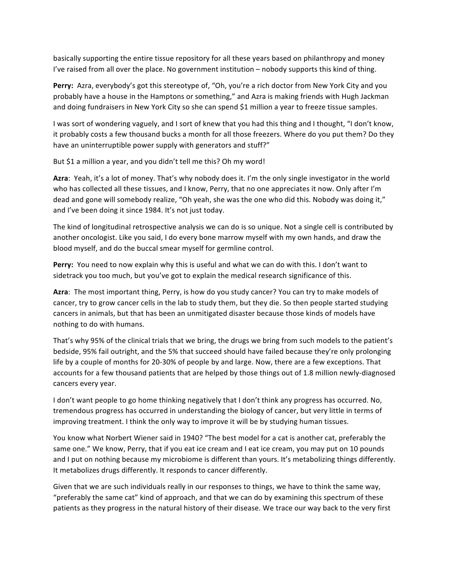basically supporting the entire tissue repository for all these years based on philanthropy and money I've raised from all over the place. No government institution - nobody supports this kind of thing.

**Perry:** Azra, everybody's got this stereotype of, "Oh, you're a rich doctor from New York City and you probably have a house in the Hamptons or something," and Azra is making friends with Hugh Jackman and doing fundraisers in New York City so she can spend \$1 million a year to freeze tissue samples.

I was sort of wondering vaguely, and I sort of knew that you had this thing and I thought, "I don't know, it probably costs a few thousand bucks a month for all those freezers. Where do you put them? Do they have an uninterruptible power supply with generators and stuff?"

But \$1 a million a year, and you didn't tell me this? Oh my word!

Azra: Yeah, it's a lot of money. That's why nobody does it. I'm the only single investigator in the world who has collected all these tissues, and I know, Perry, that no one appreciates it now. Only after I'm dead and gone will somebody realize, "Oh yeah, she was the one who did this. Nobody was doing it," and I've been doing it since 1984. It's not just today.

The kind of longitudinal retrospective analysis we can do is so unique. Not a single cell is contributed by another oncologist. Like you said, I do every bone marrow myself with my own hands, and draw the blood myself, and do the buccal smear myself for germline control.

**Perry:** You need to now explain why this is useful and what we can do with this. I don't want to sidetrack you too much, but you've got to explain the medical research significance of this.

Azra: The most important thing, Perry, is how do you study cancer? You can try to make models of cancer, try to grow cancer cells in the lab to study them, but they die. So then people started studying cancers in animals, but that has been an unmitigated disaster because those kinds of models have nothing to do with humans.

That's why 95% of the clinical trials that we bring, the drugs we bring from such models to the patient's bedside, 95% fail outright, and the 5% that succeed should have failed because they're only prolonging life by a couple of months for 20-30% of people by and large. Now, there are a few exceptions. That accounts for a few thousand patients that are helped by those things out of 1.8 million newly-diagnosed cancers every year.

I don't want people to go home thinking negatively that I don't think any progress has occurred. No, tremendous progress has occurred in understanding the biology of cancer, but very little in terms of improving treatment. I think the only way to improve it will be by studying human tissues.

You know what Norbert Wiener said in 1940? "The best model for a cat is another cat, preferably the same one." We know, Perry, that if you eat ice cream and I eat ice cream, you may put on 10 pounds and I put on nothing because my microbiome is different than yours. It's metabolizing things differently. It metabolizes drugs differently. It responds to cancer differently.

Given that we are such individuals really in our responses to things, we have to think the same way, "preferably the same cat" kind of approach, and that we can do by examining this spectrum of these patients as they progress in the natural history of their disease. We trace our way back to the very first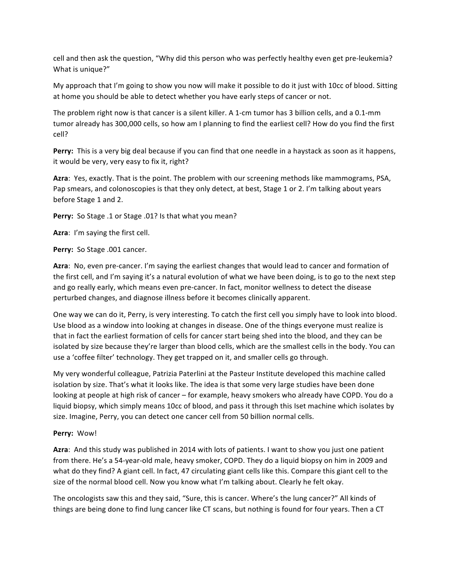cell and then ask the question, "Why did this person who was perfectly healthy even get pre-leukemia? What is unique?"

My approach that I'm going to show you now will make it possible to do it just with 10cc of blood. Sitting at home you should be able to detect whether you have early steps of cancer or not.

The problem right now is that cancer is a silent killer. A 1-cm tumor has 3 billion cells, and a 0.1-mm tumor already has 300,000 cells, so how am I planning to find the earliest cell? How do you find the first cell?

**Perry:** This is a very big deal because if you can find that one needle in a haystack as soon as it happens, it would be very, very easy to fix it, right?

Azra: Yes, exactly. That is the point. The problem with our screening methods like mammograms, PSA, Pap smears, and colonoscopies is that they only detect, at best, Stage 1 or 2. I'm talking about years before Stage 1 and 2.

**Perry:** So Stage .1 or Stage .01? Is that what you mean?

**Azra:** I'm saying the first cell.

Perry: So Stage .001 cancer.

Azra: No, even pre-cancer. I'm saying the earliest changes that would lead to cancer and formation of the first cell, and I'm saying it's a natural evolution of what we have been doing, is to go to the next step and go really early, which means even pre-cancer. In fact, monitor wellness to detect the disease perturbed changes, and diagnose illness before it becomes clinically apparent.

One way we can do it, Perry, is very interesting. To catch the first cell you simply have to look into blood. Use blood as a window into looking at changes in disease. One of the things everyone must realize is that in fact the earliest formation of cells for cancer start being shed into the blood, and they can be isolated by size because they're larger than blood cells, which are the smallest cells in the body. You can use a 'coffee filter' technology. They get trapped on it, and smaller cells go through.

My very wonderful colleague, Patrizia Paterlini at the Pasteur Institute developed this machine called isolation by size. That's what it looks like. The idea is that some very large studies have been done looking at people at high risk of cancer – for example, heavy smokers who already have COPD. You do a liquid biopsy, which simply means 10cc of blood, and pass it through this Iset machine which isolates by size. Imagine, Perry, you can detect one cancer cell from 50 billion normal cells.

### Perry: Wow!

Azra: And this study was published in 2014 with lots of patients. I want to show you just one patient from there. He's a 54-year-old male, heavy smoker, COPD. They do a liquid biopsy on him in 2009 and what do they find? A giant cell. In fact, 47 circulating giant cells like this. Compare this giant cell to the size of the normal blood cell. Now you know what I'm talking about. Clearly he felt okay.

The oncologists saw this and they said, "Sure, this is cancer. Where's the lung cancer?" All kinds of things are being done to find lung cancer like CT scans, but nothing is found for four years. Then a CT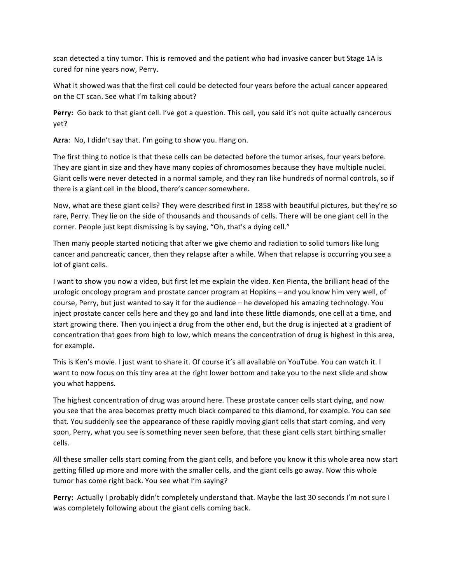scan detected a tiny tumor. This is removed and the patient who had invasive cancer but Stage 1A is cured for nine years now, Perry.

What it showed was that the first cell could be detected four years before the actual cancer appeared on the CT scan. See what I'm talking about?

**Perry:** Go back to that giant cell. I've got a question. This cell, you said it's not quite actually cancerous yet?

Azra: No, I didn't say that. I'm going to show you. Hang on.

The first thing to notice is that these cells can be detected before the tumor arises, four years before. They are giant in size and they have many copies of chromosomes because they have multiple nuclei. Giant cells were never detected in a normal sample, and they ran like hundreds of normal controls, so if there is a giant cell in the blood, there's cancer somewhere.

Now, what are these giant cells? They were described first in 1858 with beautiful pictures, but they're so rare, Perry. They lie on the side of thousands and thousands of cells. There will be one giant cell in the corner. People just kept dismissing is by saying, "Oh, that's a dying cell."

Then many people started noticing that after we give chemo and radiation to solid tumors like lung cancer and pancreatic cancer, then they relapse after a while. When that relapse is occurring you see a lot of giant cells.

I want to show you now a video, but first let me explain the video. Ken Pienta, the brilliant head of the urologic oncology program and prostate cancer program at Hopkins – and you know him very well, of course, Perry, but just wanted to say it for the audience – he developed his amazing technology. You inject prostate cancer cells here and they go and land into these little diamonds, one cell at a time, and start growing there. Then you inject a drug from the other end, but the drug is injected at a gradient of concentration that goes from high to low, which means the concentration of drug is highest in this area, for example.

This is Ken's movie. I just want to share it. Of course it's all available on YouTube. You can watch it. I want to now focus on this tiny area at the right lower bottom and take you to the next slide and show you what happens.

The highest concentration of drug was around here. These prostate cancer cells start dying, and now you see that the area becomes pretty much black compared to this diamond, for example. You can see that. You suddenly see the appearance of these rapidly moving giant cells that start coming, and very soon, Perry, what you see is something never seen before, that these giant cells start birthing smaller cells.

All these smaller cells start coming from the giant cells, and before you know it this whole area now start getting filled up more and more with the smaller cells, and the giant cells go away. Now this whole tumor has come right back. You see what I'm saying?

**Perry:** Actually I probably didn't completely understand that. Maybe the last 30 seconds I'm not sure I was completely following about the giant cells coming back.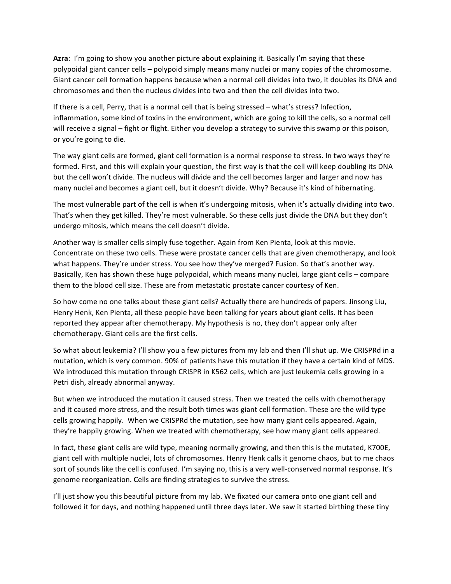**Azra:** I'm going to show you another picture about explaining it. Basically I'm saying that these polypoidal giant cancer cells – polypoid simply means many nuclei or many copies of the chromosome. Giant cancer cell formation happens because when a normal cell divides into two, it doubles its DNA and chromosomes and then the nucleus divides into two and then the cell divides into two.

If there is a cell, Perry, that is a normal cell that is being stressed – what's stress? Infection, inflammation, some kind of toxins in the environment, which are going to kill the cells, so a normal cell will receive a signal – fight or flight. Either you develop a strategy to survive this swamp or this poison, or you're going to die.

The way giant cells are formed, giant cell formation is a normal response to stress. In two ways they're formed. First, and this will explain your question, the first way is that the cell will keep doubling its DNA but the cell won't divide. The nucleus will divide and the cell becomes larger and larger and now has many nuclei and becomes a giant cell, but it doesn't divide. Why? Because it's kind of hibernating.

The most vulnerable part of the cell is when it's undergoing mitosis, when it's actually dividing into two. That's when they get killed. They're most vulnerable. So these cells just divide the DNA but they don't undergo mitosis, which means the cell doesn't divide.

Another way is smaller cells simply fuse together. Again from Ken Pienta, look at this movie. Concentrate on these two cells. These were prostate cancer cells that are given chemotherapy, and look what happens. They're under stress. You see how they've merged? Fusion. So that's another way. Basically, Ken has shown these huge polypoidal, which means many nuclei, large giant cells – compare them to the blood cell size. These are from metastatic prostate cancer courtesy of Ken.

So how come no one talks about these giant cells? Actually there are hundreds of papers. Jinsong Liu, Henry Henk, Ken Pienta, all these people have been talking for years about giant cells. It has been reported they appear after chemotherapy. My hypothesis is no, they don't appear only after chemotherapy. Giant cells are the first cells.

So what about leukemia? I'll show you a few pictures from my lab and then I'll shut up. We CRISPRd in a mutation, which is very common. 90% of patients have this mutation if they have a certain kind of MDS. We introduced this mutation through CRISPR in K562 cells, which are just leukemia cells growing in a Petri dish, already abnormal anyway.

But when we introduced the mutation it caused stress. Then we treated the cells with chemotherapy and it caused more stress, and the result both times was giant cell formation. These are the wild type cells growing happily. When we CRISPRd the mutation, see how many giant cells appeared. Again, they're happily growing. When we treated with chemotherapy, see how many giant cells appeared.

In fact, these giant cells are wild type, meaning normally growing, and then this is the mutated, K700E, giant cell with multiple nuclei, lots of chromosomes. Henry Henk calls it genome chaos, but to me chaos sort of sounds like the cell is confused. I'm saying no, this is a very well-conserved normal response. It's genome reorganization. Cells are finding strategies to survive the stress.

I'll just show you this beautiful picture from my lab. We fixated our camera onto one giant cell and followed it for days, and nothing happened until three days later. We saw it started birthing these tiny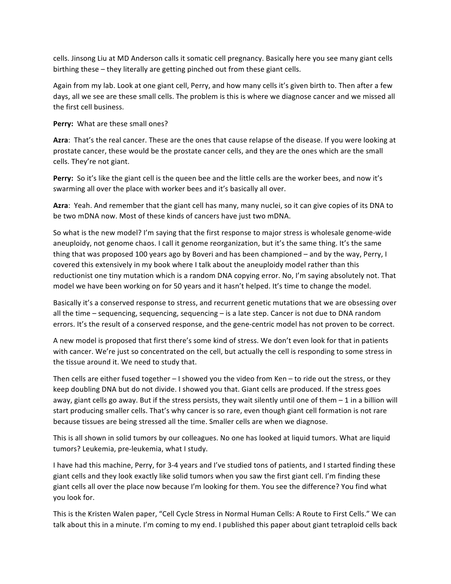cells. Jinsong Liu at MD Anderson calls it somatic cell pregnancy. Basically here you see many giant cells birthing these – they literally are getting pinched out from these giant cells.

Again from my lab. Look at one giant cell, Perry, and how many cells it's given birth to. Then after a few days, all we see are these small cells. The problem is this is where we diagnose cancer and we missed all the first cell business.

**Perry:** What are these small ones?

**Azra:** That's the real cancer. These are the ones that cause relapse of the disease. If you were looking at prostate cancer, these would be the prostate cancer cells, and they are the ones which are the small cells. They're not giant.

**Perry:** So it's like the giant cell is the queen bee and the little cells are the worker bees, and now it's swarming all over the place with worker bees and it's basically all over.

Azra: Yeah. And remember that the giant cell has many, many nuclei, so it can give copies of its DNA to be two mDNA now. Most of these kinds of cancers have just two mDNA.

So what is the new model? I'm saying that the first response to major stress is wholesale genome-wide aneuploidy, not genome chaos. I call it genome reorganization, but it's the same thing. It's the same thing that was proposed 100 years ago by Boveri and has been championed – and by the way, Perry, I covered this extensively in my book where I talk about the aneuploidy model rather than this reductionist one tiny mutation which is a random DNA copying error. No, I'm saying absolutely not. That model we have been working on for 50 years and it hasn't helped. It's time to change the model.

Basically it's a conserved response to stress, and recurrent genetic mutations that we are obsessing over all the time  $-$  sequencing, sequencing, sequencing  $-$  is a late step. Cancer is not due to DNA random errors. It's the result of a conserved response, and the gene-centric model has not proven to be correct.

A new model is proposed that first there's some kind of stress. We don't even look for that in patients with cancer. We're just so concentrated on the cell, but actually the cell is responding to some stress in the tissue around it. We need to study that.

Then cells are either fused together  $-1$  showed you the video from Ken  $-$  to ride out the stress, or they keep doubling DNA but do not divide. I showed you that. Giant cells are produced. If the stress goes away, giant cells go away. But if the stress persists, they wait silently until one of them  $-1$  in a billion will start producing smaller cells. That's why cancer is so rare, even though giant cell formation is not rare because tissues are being stressed all the time. Smaller cells are when we diagnose.

This is all shown in solid tumors by our colleagues. No one has looked at liquid tumors. What are liquid tumors? Leukemia, pre-leukemia, what I study.

I have had this machine, Perry, for 3-4 years and I've studied tons of patients, and I started finding these giant cells and they look exactly like solid tumors when you saw the first giant cell. I'm finding these giant cells all over the place now because I'm looking for them. You see the difference? You find what you look for.

This is the Kristen Walen paper, "Cell Cycle Stress in Normal Human Cells: A Route to First Cells." We can talk about this in a minute. I'm coming to my end. I published this paper about giant tetraploid cells back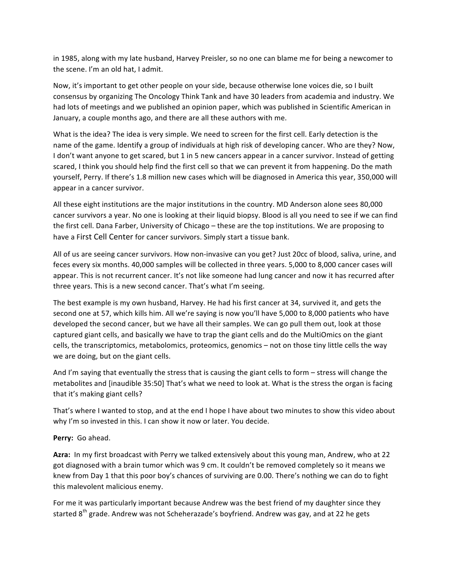in 1985, along with my late husband, Harvey Preisler, so no one can blame me for being a newcomer to the scene. I'm an old hat, I admit.

Now, it's important to get other people on your side, because otherwise lone voices die, so I built consensus by organizing The Oncology Think Tank and have 30 leaders from academia and industry. We had lots of meetings and we published an opinion paper, which was published in Scientific American in January, a couple months ago, and there are all these authors with me.

What is the idea? The idea is very simple. We need to screen for the first cell. Early detection is the name of the game. Identify a group of individuals at high risk of developing cancer. Who are they? Now, I don't want anyone to get scared, but 1 in 5 new cancers appear in a cancer survivor. Instead of getting scared, I think you should help find the first cell so that we can prevent it from happening. Do the math yourself, Perry. If there's 1.8 million new cases which will be diagnosed in America this year, 350,000 will appear in a cancer survivor.

All these eight institutions are the major institutions in the country. MD Anderson alone sees 80,000 cancer survivors a year. No one is looking at their liquid biopsy. Blood is all you need to see if we can find the first cell. Dana Farber, University of Chicago – these are the top institutions. We are proposing to have a First Cell Center for cancer survivors. Simply start a tissue bank.

All of us are seeing cancer survivors. How non-invasive can you get? Just 20cc of blood, saliva, urine, and feces every six months. 40,000 samples will be collected in three years. 5,000 to 8,000 cancer cases will appear. This is not recurrent cancer. It's not like someone had lung cancer and now it has recurred after three years. This is a new second cancer. That's what I'm seeing.

The best example is my own husband, Harvey. He had his first cancer at 34, survived it, and gets the second one at 57, which kills him. All we're saying is now you'll have 5,000 to 8,000 patients who have developed the second cancer, but we have all their samples. We can go pull them out, look at those captured giant cells, and basically we have to trap the giant cells and do the MultiOmics on the giant cells, the transcriptomics, metabolomics, proteomics, genomics – not on those tiny little cells the way we are doing, but on the giant cells.

And I'm saying that eventually the stress that is causing the giant cells to form – stress will change the metabolites and [inaudible 35:50] That's what we need to look at. What is the stress the organ is facing that it's making giant cells?

That's where I wanted to stop, and at the end I hope I have about two minutes to show this video about why I'm so invested in this. I can show it now or later. You decide.

Perry: Go ahead.

**Azra:** In my first broadcast with Perry we talked extensively about this young man, Andrew, who at 22 got diagnosed with a brain tumor which was 9 cm. It couldn't be removed completely so it means we knew from Day 1 that this poor boy's chances of surviving are 0.00. There's nothing we can do to fight this malevolent malicious enemy.

For me it was particularly important because Andrew was the best friend of my daughter since they started 8<sup>th</sup> grade. Andrew was not Scheherazade's boyfriend. Andrew was gay, and at 22 he gets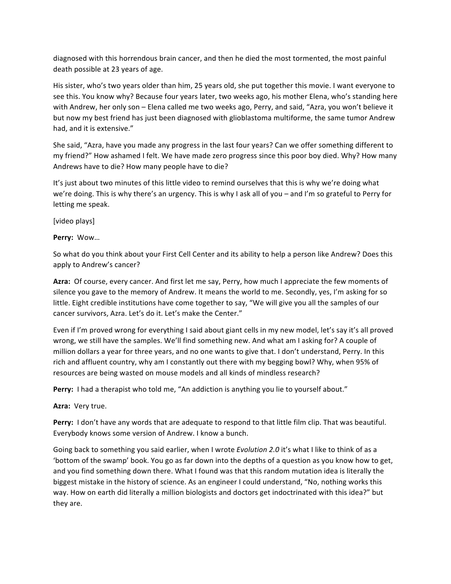diagnosed with this horrendous brain cancer, and then he died the most tormented, the most painful death possible at 23 years of age.

His sister, who's two years older than him, 25 years old, she put together this movie. I want everyone to see this. You know why? Because four years later, two weeks ago, his mother Elena, who's standing here with Andrew, her only son – Elena called me two weeks ago, Perry, and said, "Azra, you won't believe it but now my best friend has just been diagnosed with glioblastoma multiforme, the same tumor Andrew had, and it is extensive."

She said, "Azra, have you made any progress in the last four years? Can we offer something different to my friend?" How ashamed I felt. We have made zero progress since this poor boy died. Why? How many Andrews have to die? How many people have to die?

It's just about two minutes of this little video to remind ourselves that this is why we're doing what we're doing. This is why there's an urgency. This is why I ask all of you – and I'm so grateful to Perry for letting me speak.

[video plays]

# Perry: Wow...

So what do you think about your First Cell Center and its ability to help a person like Andrew? Does this apply to Andrew's cancer?

**Azra:** Of course, every cancer. And first let me say, Perry, how much I appreciate the few moments of silence you gave to the memory of Andrew. It means the world to me. Secondly, yes, I'm asking for so little. Eight credible institutions have come together to say, "We will give you all the samples of our cancer survivors, Azra. Let's do it. Let's make the Center."

Even if I'm proved wrong for everything I said about giant cells in my new model, let's say it's all proved wrong, we still have the samples. We'll find something new. And what am I asking for? A couple of million dollars a year for three years, and no one wants to give that. I don't understand, Perry. In this rich and affluent country, why am I constantly out there with my begging bowl? Why, when 95% of resources are being wasted on mouse models and all kinds of mindless research?

**Perry:** I had a therapist who told me, "An addiction is anything you lie to yourself about."

Azra: Very true.

**Perry:** I don't have any words that are adequate to respond to that little film clip. That was beautiful. Everybody knows some version of Andrew. I know a bunch.

Going back to something you said earlier, when I wrote *Evolution* 2.0 it's what I like to think of as a 'bottom of the swamp' book. You go as far down into the depths of a question as you know how to get, and you find something down there. What I found was that this random mutation idea is literally the biggest mistake in the history of science. As an engineer I could understand, "No, nothing works this way. How on earth did literally a million biologists and doctors get indoctrinated with this idea?" but they are.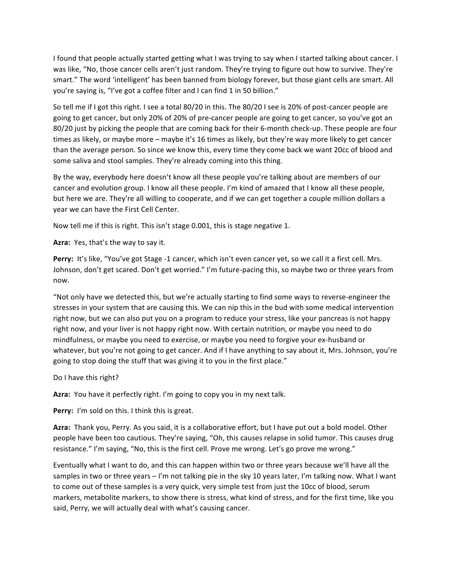I found that people actually started getting what I was trying to say when I started talking about cancer. I was like, "No, those cancer cells aren't just random. They're trying to figure out how to survive. They're smart." The word 'intelligent' has been banned from biology forever, but those giant cells are smart. All you're saying is, "I've got a coffee filter and I can find 1 in 50 billion."

So tell me if I got this right. I see a total 80/20 in this. The 80/20 I see is 20% of post-cancer people are going to get cancer, but only 20% of 20% of pre-cancer people are going to get cancer, so you've got an 80/20 just by picking the people that are coming back for their 6-month check-up. These people are four times as likely, or maybe more – maybe it's 16 times as likely, but they're way more likely to get cancer than the average person. So since we know this, every time they come back we want 20cc of blood and some saliva and stool samples. They're already coming into this thing.

By the way, everybody here doesn't know all these people you're talking about are members of our cancer and evolution group. I know all these people. I'm kind of amazed that I know all these people, but here we are. They're all willing to cooperate, and if we can get together a couple million dollars a year we can have the First Cell Center.

Now tell me if this is right. This isn't stage 0.001, this is stage negative 1.

Azra: Yes, that's the way to say it.

Perry: It's like, "You've got Stage -1 cancer, which isn't even cancer yet, so we call it a first cell. Mrs. Johnson, don't get scared. Don't get worried." I'm future-pacing this, so maybe two or three years from now. 

"Not only have we detected this, but we're actually starting to find some ways to reverse-engineer the stresses in your system that are causing this. We can nip this in the bud with some medical intervention right now, but we can also put you on a program to reduce your stress, like your pancreas is not happy right now, and your liver is not happy right now. With certain nutrition, or maybe you need to do mindfulness, or maybe you need to exercise, or maybe you need to forgive your ex-husband or whatever, but you're not going to get cancer. And if I have anything to say about it, Mrs. Johnson, you're going to stop doing the stuff that was giving it to you in the first place."

# Do I have this right?

**Azra:** You have it perfectly right. I'm going to copy you in my next talk.

**Perry:** I'm sold on this. I think this is great.

Azra: Thank you, Perry. As you said, it is a collaborative effort, but I have put out a bold model. Other people have been too cautious. They're saying, "Oh, this causes relapse in solid tumor. This causes drug resistance." I'm saying, "No, this is the first cell. Prove me wrong. Let's go prove me wrong."

Eventually what I want to do, and this can happen within two or three years because we'll have all the samples in two or three years  $-1'm$  not talking pie in the sky 10 years later, I'm talking now. What I want to come out of these samples is a very quick, very simple test from just the 10cc of blood, serum markers, metabolite markers, to show there is stress, what kind of stress, and for the first time, like you said, Perry, we will actually deal with what's causing cancer.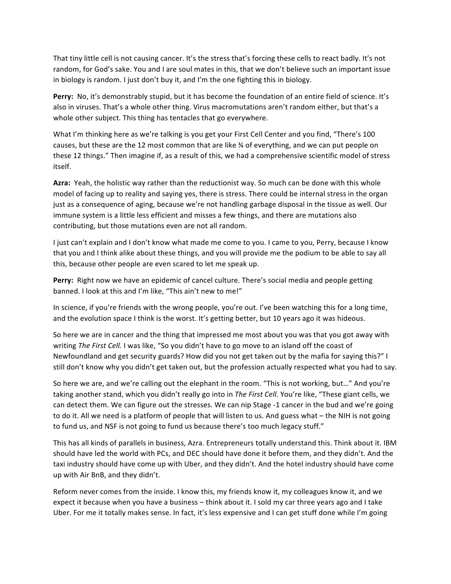That tiny little cell is not causing cancer. It's the stress that's forcing these cells to react badly. It's not random, for God's sake. You and I are soul mates in this, that we don't believe such an important issue in biology is random. I just don't buy it, and I'm the one fighting this in biology.

Perry: No, it's demonstrably stupid, but it has become the foundation of an entire field of science. It's also in viruses. That's a whole other thing. Virus macromutations aren't random either, but that's a whole other subject. This thing has tentacles that go everywhere.

What I'm thinking here as we're talking is you get your First Cell Center and you find, "There's 100 causes, but these are the 12 most common that are like  $\frac{3}{4}$  of everything, and we can put people on these 12 things." Then imagine if, as a result of this, we had a comprehensive scientific model of stress itself.

Azra: Yeah, the holistic way rather than the reductionist way. So much can be done with this whole model of facing up to reality and saying yes, there is stress. There could be internal stress in the organ just as a consequence of aging, because we're not handling garbage disposal in the tissue as well. Our immune system is a little less efficient and misses a few things, and there are mutations also contributing, but those mutations even are not all random.

I just can't explain and I don't know what made me come to you. I came to you, Perry, because I know that you and I think alike about these things, and you will provide me the podium to be able to say all this, because other people are even scared to let me speak up.

Perry: Right now we have an epidemic of cancel culture. There's social media and people getting banned. I look at this and I'm like, "This ain't new to me!"

In science, if you're friends with the wrong people, you're out. I've been watching this for a long time, and the evolution space I think is the worst. It's getting better, but 10 years ago it was hideous.

So here we are in cancer and the thing that impressed me most about you was that you got away with writing *The First Cell.* I was like, "So you didn't have to go move to an island off the coast of Newfoundland and get security guards? How did you not get taken out by the mafia for saying this?" I still don't know why you didn't get taken out, but the profession actually respected what you had to say.

So here we are, and we're calling out the elephant in the room. "This is not working, but..." And you're taking another stand, which you didn't really go into in *The First Cell.* You're like, "These giant cells, we can detect them. We can figure out the stresses. We can nip Stage -1 cancer in the bud and we're going to do it. All we need is a platform of people that will listen to us. And guess what – the NIH is not going to fund us, and NSF is not going to fund us because there's too much legacy stuff."

This has all kinds of parallels in business, Azra. Entrepreneurs totally understand this. Think about it. IBM should have led the world with PCs, and DEC should have done it before them, and they didn't. And the taxi industry should have come up with Uber, and they didn't. And the hotel industry should have come up with Air BnB, and they didn't.

Reform never comes from the inside. I know this, my friends know it, my colleagues know it, and we expect it because when you have a business – think about it. I sold my car three years ago and I take Uber. For me it totally makes sense. In fact, it's less expensive and I can get stuff done while I'm going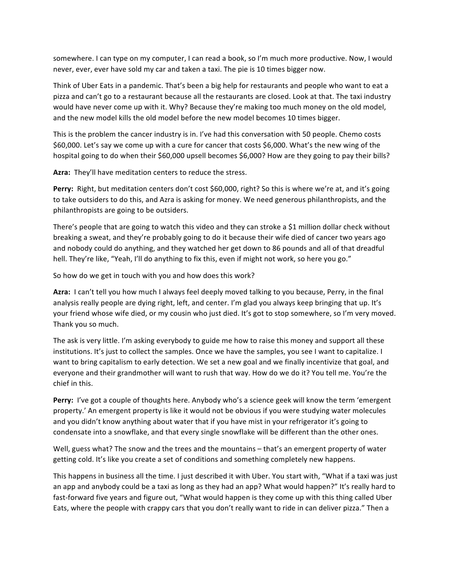somewhere. I can type on my computer, I can read a book, so I'm much more productive. Now, I would never, ever, ever have sold my car and taken a taxi. The pie is 10 times bigger now.

Think of Uber Eats in a pandemic. That's been a big help for restaurants and people who want to eat a pizza and can't go to a restaurant because all the restaurants are closed. Look at that. The taxi industry would have never come up with it. Why? Because they're making too much money on the old model, and the new model kills the old model before the new model becomes 10 times bigger.

This is the problem the cancer industry is in. I've had this conversation with 50 people. Chemo costs \$60,000. Let's say we come up with a cure for cancer that costs \$6,000. What's the new wing of the hospital going to do when their \$60,000 upsell becomes \$6,000? How are they going to pay their bills?

Azra: They'll have meditation centers to reduce the stress.

**Perry:** Right, but meditation centers don't cost \$60,000, right? So this is where we're at, and it's going to take outsiders to do this, and Azra is asking for money. We need generous philanthropists, and the philanthropists are going to be outsiders.

There's people that are going to watch this video and they can stroke a \$1 million dollar check without breaking a sweat, and they're probably going to do it because their wife died of cancer two years ago and nobody could do anything, and they watched her get down to 86 pounds and all of that dreadful hell. They're like, "Yeah, I'll do anything to fix this, even if might not work, so here you go."

So how do we get in touch with you and how does this work?

Azra: I can't tell you how much I always feel deeply moved talking to you because, Perry, in the final analysis really people are dying right, left, and center. I'm glad you always keep bringing that up. It's your friend whose wife died, or my cousin who just died. It's got to stop somewhere, so I'm very moved. Thank you so much.

The ask is very little. I'm asking everybody to guide me how to raise this money and support all these institutions. It's just to collect the samples. Once we have the samples, you see I want to capitalize. I want to bring capitalism to early detection. We set a new goal and we finally incentivize that goal, and everyone and their grandmother will want to rush that way. How do we do it? You tell me. You're the chief in this.

**Perry:** I've got a couple of thoughts here. Anybody who's a science geek will know the term 'emergent property.' An emergent property is like it would not be obvious if you were studying water molecules and you didn't know anything about water that if you have mist in your refrigerator it's going to condensate into a snowflake, and that every single snowflake will be different than the other ones.

Well, guess what? The snow and the trees and the mountains  $-$  that's an emergent property of water getting cold. It's like you create a set of conditions and something completely new happens.

This happens in business all the time. I just described it with Uber. You start with, "What if a taxi was just an app and anybody could be a taxi as long as they had an app? What would happen?" It's really hard to fast-forward five years and figure out, "What would happen is they come up with this thing called Uber Eats, where the people with crappy cars that you don't really want to ride in can deliver pizza." Then a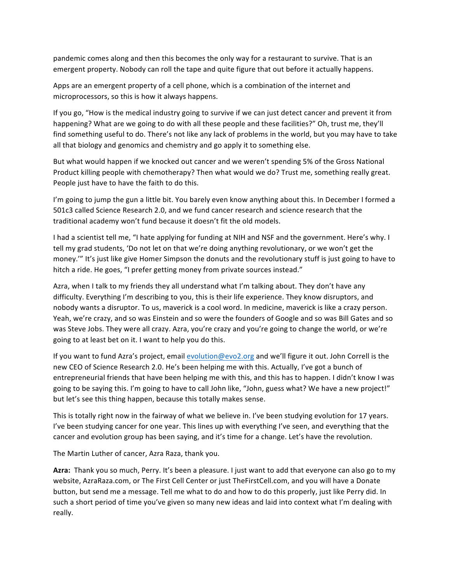pandemic comes along and then this becomes the only way for a restaurant to survive. That is an emergent property. Nobody can roll the tape and quite figure that out before it actually happens.

Apps are an emergent property of a cell phone, which is a combination of the internet and microprocessors, so this is how it always happens.

If you go, "How is the medical industry going to survive if we can just detect cancer and prevent it from happening? What are we going to do with all these people and these facilities?" Oh, trust me, they'll find something useful to do. There's not like any lack of problems in the world, but you may have to take all that biology and genomics and chemistry and go apply it to something else.

But what would happen if we knocked out cancer and we weren't spending 5% of the Gross National Product killing people with chemotherapy? Then what would we do? Trust me, something really great. People just have to have the faith to do this.

I'm going to jump the gun a little bit. You barely even know anything about this. In December I formed a 501c3 called Science Research 2.0, and we fund cancer research and science research that the traditional academy won't fund because it doesn't fit the old models.

I had a scientist tell me, "I hate applying for funding at NIH and NSF and the government. Here's why. I tell my grad students, 'Do not let on that we're doing anything revolutionary, or we won't get the money.'" It's just like give Homer Simpson the donuts and the revolutionary stuff is just going to have to hitch a ride. He goes, "I prefer getting money from private sources instead."

Azra, when I talk to my friends they all understand what I'm talking about. They don't have any difficulty. Everything I'm describing to you, this is their life experience. They know disruptors, and nobody wants a disruptor. To us, maverick is a cool word. In medicine, maverick is like a crazy person. Yeah, we're crazy, and so was Einstein and so were the founders of Google and so was Bill Gates and so was Steve Jobs. They were all crazy. Azra, you're crazy and you're going to change the world, or we're going to at least bet on it. I want to help you do this.

If you want to fund Azra's project, email evolution@evo2.org and we'll figure it out. John Correll is the new CEO of Science Research 2.0. He's been helping me with this. Actually, I've got a bunch of entrepreneurial friends that have been helping me with this, and this has to happen. I didn't know I was going to be saying this. I'm going to have to call John like, "John, guess what? We have a new project!" but let's see this thing happen, because this totally makes sense.

This is totally right now in the fairway of what we believe in. I've been studying evolution for 17 years. I've been studying cancer for one year. This lines up with everything I've seen, and everything that the cancer and evolution group has been saying, and it's time for a change. Let's have the revolution.

The Martin Luther of cancer, Azra Raza, thank you.

Azra: Thank you so much, Perry. It's been a pleasure. I just want to add that everyone can also go to my website, AzraRaza.com, or The First Cell Center or just TheFirstCell.com, and you will have a Donate button, but send me a message. Tell me what to do and how to do this properly, just like Perry did. In such a short period of time you've given so many new ideas and laid into context what I'm dealing with really.